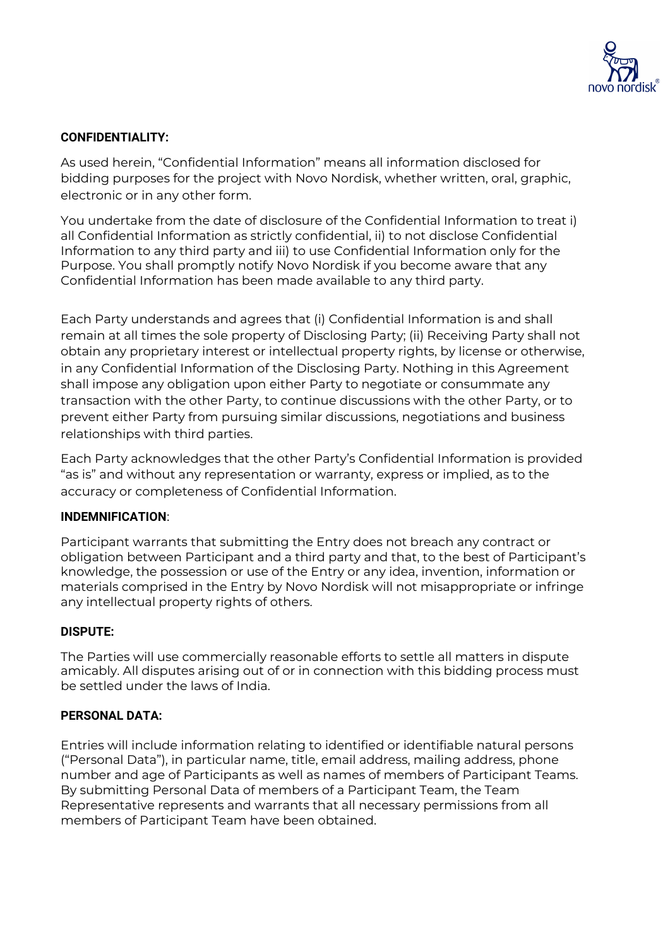

## **CONFIDENTIALITY:**

As used herein, "Confidential Information" means all information disclosed for bidding purposes for the project with Novo Nordisk, whether written, oral, graphic, electronic or in any other form.

You undertake from the date of disclosure of the Confidential Information to treat i) all Confidential Information as strictly confidential, ii) to not disclose Confidential Information to any third party and iii) to use Confidential Information only for the Purpose. You shall promptly notify Novo Nordisk if you become aware that any Confidential Information has been made available to any third party.

Each Party understands and agrees that (i) Confidential Information is and shall remain at all times the sole property of Disclosing Party; (ii) Receiving Party shall not obtain any proprietary interest or intellectual property rights, by license or otherwise, in any Confidential Information of the Disclosing Party. Nothing in this Agreement shall impose any obligation upon either Party to negotiate or consummate any transaction with the other Party, to continue discussions with the other Party, or to prevent either Party from pursuing similar discussions, negotiations and business relationships with third parties.

Each Party acknowledges that the other Party's Confidential Information is provided "as is" and without any representation or warranty, express or implied, as to the accuracy or completeness of Confidential Information.

## **INDEMNIFICATION**:

Participant warrants that submitting the Entry does not breach any contract or obligation between Participant and a third party and that, to the best of Participant's knowledge, the possession or use of the Entry or any idea, invention, information or materials comprised in the Entry by Novo Nordisk will not misappropriate or infringe any intellectual property rights of others.

## **DISPUTE:**

The Parties will use commercially reasonable efforts to settle all matters in dispute amicably. All disputes arising out of or in connection with this bidding process must be settled under the laws of India.

## **PERSONAL DATA:**

Entries will include information relating to identified or identifiable natural persons ("Personal Data"), in particular name, title, email address, mailing address, phone number and age of Participants as well as names of members of Participant Teams. By submitting Personal Data of members of a Participant Team, the Team Representative represents and warrants that all necessary permissions from all members of Participant Team have been obtained.